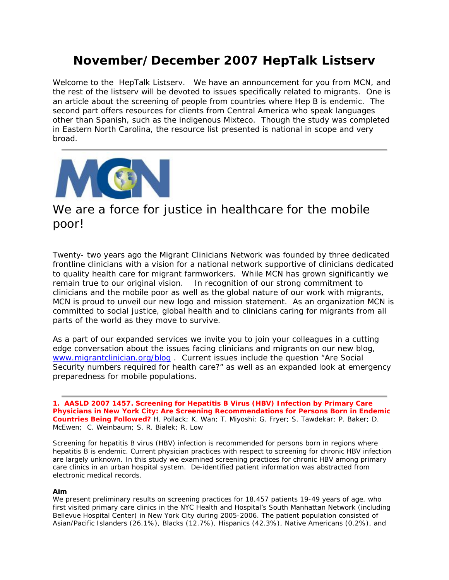# **November/December 2007 HepTalk Listserv**

Welcome to the HepTalk Listserv. We have an announcement for you from MCN, and the rest of the listserv will be devoted to issues specifically related to migrants. One is an article about the screening of people from countries where Hep B is endemic. The second part offers resources for clients from Central America who speak languages other than Spanish, such as the indigenous Mixteco. Though the study was completed in Eastern North Carolina, the resource list presented is national in scope and very broad.



# *We are a force for justice in healthcare for the mobile poor!*

Twenty- two years ago the Migrant Clinicians Network was founded by three dedicated frontline clinicians with a vision for a national network supportive of clinicians dedicated to quality health care for migrant farmworkers. While MCN has grown significantly we remain true to our original vision. In recognition of our strong commitment to clinicians and the mobile poor as well as the global nature of our work with migrants, MCN is proud to unveil our new logo and mission statement. As an organization MCN is committed to social justice, global health and to clinicians caring for migrants from all parts of the world as they move to survive.

As a part of our expanded services we invite you to join your colleagues in a cutting edge conversation about the issues facing clinicians and migrants on our new blog, www.migrantclinician.org/blog . Current issues include the question "Are Social Security numbers required for health care?" as well as an expanded look at emergency preparedness for mobile populations.

**1. AASLD 2007 1457. Screening for Hepatitis B Virus (HBV) Infection by Primary Care Physicians in New York City: Are Screening Recommendations for Persons Born in Endemic Countries Being Followed?** H. Pollack; K. Wan; T. Miyoshi; G. Fryer; S. Tawdekar; P. Baker; D. McEwen; C. Weinbaum; S. R. Bialek; R. Low

Screening for hepatitis B virus (HBV) infection is recommended for persons born in regions where hepatitis B is endemic. Current physician practices with respect to screening for chronic HBV infection are largely unknown. In this study we examined screening practices for chronic HBV among primary care clinics in an urban hospital system. De-identified patient information was abstracted from electronic medical records.

#### **Aim**

We present preliminary results on screening practices for 18,457 patients 19-49 years of age, who first visited primary care clinics in the NYC Health and Hospital's South Manhattan Network (including Bellevue Hospital Center) in New York City during 2005-2006. The patient population consisted of Asian/Pacific Islanders (26.1%), Blacks (12.7%), Hispanics (42.3%), Native Americans (0.2%), and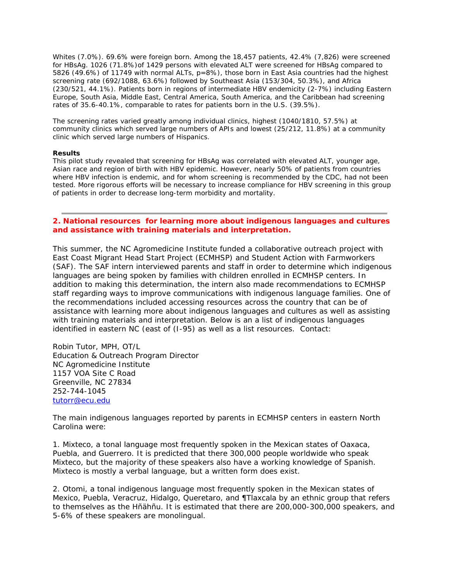Whites (7.0%). 69.6% were foreign born. Among the 18,457 patients, 42.4% (7,826) were screened for HBsAg. 1026 (71.8%)of 1429 persons with elevated ALT were screened for HBsAg compared to 5826 (49.6%) of 11749 with normal ALTs, p=8%), those born in East Asia countries had the highest screening rate (692/1088, 63.6%) followed by Southeast Asia (153/304, 50.3%), and Africa (230/521, 44.1%). Patients born in regions of intermediate HBV endemicity (2-7%) including Eastern Europe, South Asia, Middle East, Central America, South America, and the Caribbean had screening rates of 35.6-40.1%, comparable to rates for patients born in the U.S. (39.5%).

The screening rates varied greatly among individual clinics, highest (1040/1810, 57.5%) at community clinics which served large numbers of APIs and lowest (25/212, 11.8%) at a community clinic which served large numbers of Hispanics.

#### **Results**

This pilot study revealed that screening for HBsAg was correlated with elevated ALT, younger age, Asian race and region of birth with HBV epidemic. However, nearly 50% of patients from countries where HBV infection is endemic, and for whom screening is recommended by the CDC, had not been tested. More rigorous efforts will be necessary to increase compliance for HBV screening in this group of patients in order to decrease long-term morbidity and mortality.

### **2. National resources for learning more about indigenous languages and cultures and assistance with training materials and interpretation.**

This summer, the NC Agromedicine Institute funded a collaborative outreach project with East Coast Migrant Head Start Project (ECMHSP) and Student Action with Farmworkers (SAF). The SAF intern interviewed parents and staff in order to determine which indigenous languages are being spoken by families with children enrolled in ECMHSP centers. In addition to making this determination, the intern also made recommendations to ECMHSP staff regarding ways to improve communications with indigenous language families. One of the recommendations included accessing resources across the country that can be of assistance with learning more about indigenous languages and cultures as well as assisting with training materials and interpretation. Below is an a list of indigenous languages identified in eastern NC (east of (I-95) as well as a list resources. Contact:

Robin Tutor, MPH, OT/L Education & Outreach Program Director NC Agromedicine Institute 1157 VOA Site C Road Greenville, NC 27834 252-744-1045 tutorr@ecu.edu

The main indigenous languages reported by parents in ECMHSP centers in eastern North Carolina were:

1. Mixteco, a tonal language most frequently spoken in the Mexican states of Oaxaca, Puebla, and Guerrero. It is predicted that there 300,000 people worldwide who speak Mixteco, but the majority of these speakers also have a working knowledge of Spanish. Mixteco is mostly a verbal language, but a written form does exist.

2. Otomi, a tonal indigenous language most frequently spoken in the Mexican states of Mexico, Puebla, Veracruz, Hidalgo, Queretaro, and ¶Tlaxcala by an ethnic group that refers to themselves as the Hñähñu. It is estimated that there are 200,000-300,000 speakers, and 5-6% of these speakers are monolingual.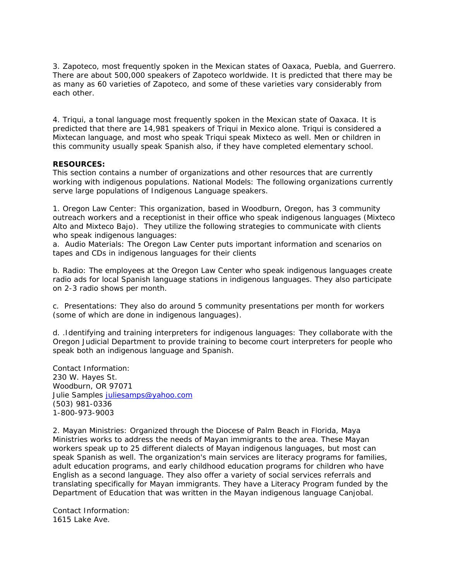3. Zapoteco, most frequently spoken in the Mexican states of Oaxaca, Puebla, and Guerrero. There are about 500,000 speakers of Zapoteco worldwide. It is predicted that there may be as many as 60 varieties of Zapoteco, and some of these varieties vary considerably from each other.

4. Triqui, a tonal language most frequently spoken in the Mexican state of Oaxaca. It is predicted that there are 14,981 speakers of Triqui in Mexico alone. Triqui is considered a Mixtecan language, and most who speak Triqui speak Mixteco as well. Men or children in this community usually speak Spanish also, if they have completed elementary school.

### **RESOURCES:**

This section contains a number of organizations and other resources that are currently working with indigenous populations. National Models: The following organizations currently serve large populations of Indigenous Language speakers.

1. Oregon Law Center: This organization, based in Woodburn, Oregon, has 3 community outreach workers and a receptionist in their office who speak indigenous languages (Mixteco Alto and Mixteco Bajo). They utilize the following strategies to communicate with clients who speak indigenous languages:

a. Audio Materials: The Oregon Law Center puts important information and scenarios on tapes and CDs in indigenous languages for their clients

b. Radio: The employees at the Oregon Law Center who speak indigenous languages create radio ads for local Spanish language stations in indigenous languages. They also participate on 2-3 radio shows per month.

c. Presentations: They also do around 5 community presentations per month for workers (some of which are done in indigenous languages).

d. .Identifying and training interpreters for indigenous languages: They collaborate with the Oregon Judicial Department to provide training to become court interpreters for people who speak both an indigenous language and Spanish.

Contact Information: 230 W. Hayes St. Woodburn, OR 97071 Julie Samples juliesamps@yahoo.com (503) 981-0336 1-800-973-9003

2. Mayan Ministries: Organized through the Diocese of Palm Beach in Florida, Maya Ministries works to address the needs of Mayan immigrants to the area. These Mayan workers speak up to 25 different dialects of Mayan indigenous languages, but most can speak Spanish as well. The organization's main services are literacy programs for families, adult education programs, and early childhood education programs for children who have English as a second language. They also offer a variety of social services referrals and translating specifically for Mayan immigrants. They have a Literacy Program funded by the Department of Education that was written in the Mayan indigenous language Canjobal.

Contact Information: 1615 Lake Ave.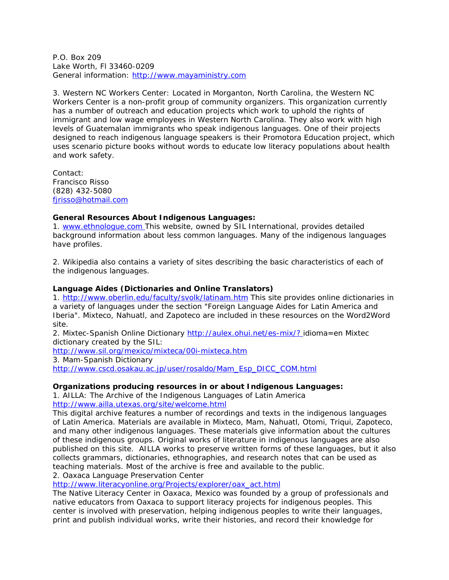P.O. Box 209 Lake Worth, Fl 33460-0209 General information: http://www.mayaministry.com

3. Western NC Workers Center: Located in Morganton, North Carolina, the Western NC Workers Center is a non-profit group of community organizers. This organization currently has a number of outreach and education projects which work to uphold the rights of immigrant and low wage employees in Western North Carolina. They also work with high levels of Guatemalan immigrants who speak indigenous languages. One of their projects designed to reach indigenous language speakers is their Promotora Education project, which uses scenario picture books without words to educate low literacy populations about health and work safety.

Contact: Francisco Risso (828) 432-5080 fjrisso@hotmail.com

# **General Resources About Indigenous Languages:**

1. www.ethnologue.com This website, owned by SIL International, provides detailed background information about less common languages. Many of the indigenous languages have profiles.

2. Wikipedia also contains a variety of sites describing the basic characteristics of each of the indigenous languages.

### **Language Aides (Dictionaries and Online Translators)**

1. http://www.oberlin.edu/faculty/svolk/latinam.htm This site provides online dictionaries in a variety of languages under the section "Foreign Language Aides for Latin America and Iberia". Mixteco, Nahuatl, and Zapoteco are included in these resources on the Word2Word site.

2. Mixtec-Spanish Online Dictionary http://aulex.ohui.net/es-mix/? idioma=en Mixtec dictionary created by the SIL:

http://www.sil.org/mexico/mixteca/00i-mixteca.htm

3. Mam-Spanish Dictionary

http://www.cscd.osakau.ac.jp/user/rosaldo/Mam\_Esp\_DICC\_COM.html

#### **Organizations producing resources in or about Indigenous Languages:**

1. AILLA: The Archive of the Indigenous Languages of Latin America

http://www.ailla.utexas.org/site/welcome.html

This digital archive features a number of recordings and texts in the indigenous languages of Latin America. Materials are available in Mixteco, Mam, Nahuatl, Otomi, Triqui, Zapoteco, and many other indigenous languages. These materials give information about the cultures of these indigenous groups. Original works of literature in indigenous languages are also published on this site. AILLA works to preserve written forms of these languages, but it also collects grammars, dictionaries, ethnographies, and research notes that can be used as teaching materials. Most of the archive is free and available to the public.

2. Oaxaca Language Preservation Center

http://www.literacyonline.org/Projects/explorer/oax\_act.html

The Native Literacy Center in Oaxaca, Mexico was founded by a group of professionals and native educators from Oaxaca to support literacy projects for indigenous peoples. This center is involved with preservation, helping indigenous peoples to write their languages, print and publish individual works, write their histories, and record their knowledge for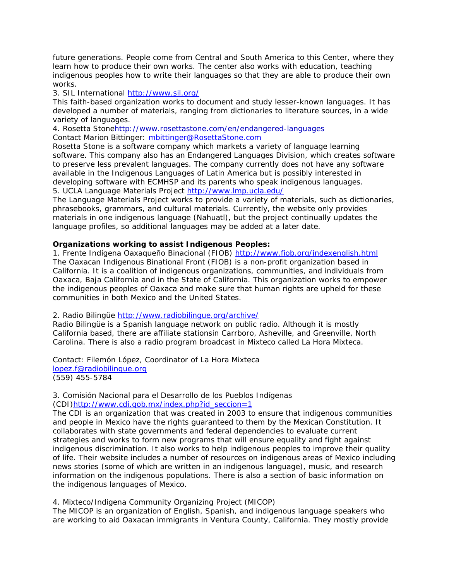future generations. People come from Central and South America to this Center, where they learn how to produce their own works. The center also works with education, teaching indigenous peoples how to write their languages so that they are able to produce their own works.

3. SIL International http://www.sil.org/

This faith-based organization works to document and study lesser-known languages. It has developed a number of materials, ranging from dictionaries to literature sources, in a wide variety of languages.

4. Rosetta Stonehttp://www.rosettastone.com/en/endangered-languages Contact Marion Bittinger: mbittinger@RosettaStone.com

Rosetta Stone is a software company which markets a variety of language learning software. This company also has an Endangered Languages Division, which creates software to preserve less prevalent languages. The company currently does not have any software available in the Indigenous Languages of Latin America but is possibly interested in developing software with ECMHSP and its parents who speak indigenous languages. 5. UCLA Language Materials Project http://www.lmp.ucla.edu/

The Language Materials Project works to provide a variety of materials, such as dictionaries, phrasebooks, grammars, and cultural materials. Currently, the website only provides materials in one indigenous language (Nahuatl), but the project continually updates the language profiles, so additional languages may be added at a later date.

# **Organizations working to assist Indigenous Peoples:**

1. Frente Indígena Oaxaqueño Binacional (FIOB) http://www.fiob.org/indexenglish.html The Oaxacan Indigenous Binational Front (FIOB) is a non-profit organization based in California. It is a coalition of indigenous organizations, communities, and individuals from Oaxaca, Baja California and in the State of California. This organization works to empower the indigenous peoples of Oaxaca and make sure that human rights are upheld for these communities in both Mexico and the United States.

2. Radio Bilingüe http://www.radiobilingue.org/archive/

Radio Bilingüe is a Spanish language network on public radio. Although it is mostly California based, there are affiliate stationsin Carrboro, Asheville, and Greenville, North Carolina. There is also a radio program broadcast in Mixteco called La Hora Mixteca.

Contact: Filemón López, Coordinator of La Hora Mixteca lopez.f@radiobilingue.org (559) 455-5784

3. Comisión Nacional para el Desarrollo de los Pueblos Indígenas (CDI)http://www.cdi.gob.mx/index.php?id\_seccion=1

The CDI is an organization that was created in 2003 to ensure that indigenous communities and people in Mexico have the rights guaranteed to them by the Mexican Constitution. It collaborates with state governments and federal dependencies to evaluate current strategies and works to form new programs that will ensure equality and fight against indigenous discrimination. It also works to help indigenous peoples to improve their quality of life. Their website includes a number of resources on indigenous areas of Mexico including news stories (some of which are written in an indigenous language), music, and research information on the indigenous populations. There is also a section of basic information on the indigenous languages of Mexico.

4. Mixteco/Indigena Community Organizing Project (MICOP)

The MICOP is an organization of English, Spanish, and indigenous language speakers who are working to aid Oaxacan immigrants in Ventura County, California. They mostly provide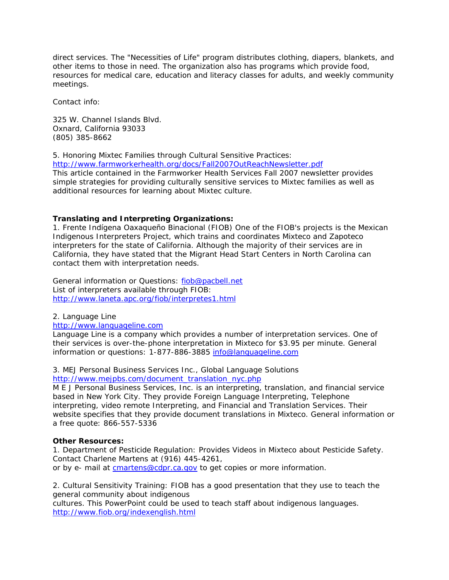direct services. The "Necessities of Life" program distributes clothing, diapers, blankets, and other items to those in need. The organization also has programs which provide food, resources for medical care, education and literacy classes for adults, and weekly community meetings.

Contact info:

325 W. Channel Islands Blvd. Oxnard, California 93033 (805) 385-8662

5. Honoring Mixtec Families through Cultural Sensitive Practices:

http://www.farmworkerhealth.org/docs/Fall2007OutReachNewsletter.pdf This article contained in the Farmworker Health Services Fall 2007 newsletter provides simple strategies for providing culturally sensitive services to Mixtec families as well as additional resources for learning about Mixtec culture.

# **Translating and Interpreting Organizations:**

1. Frente Indígena Oaxaqueño Binacional (FIOB) One of the FIOB's projects is the Mexican Indigenous Interpreters Project, which trains and coordinates Mixteco and Zapoteco interpreters for the state of California. Although the majority of their services are in California, they have stated that the Migrant Head Start Centers in North Carolina can contact them with interpretation needs.

General information or Questions: fiob@pacbell.net List of interpreters available through FIOB: http://www.laneta.apc.org/fiob/interpretes1.html

2. Language Line

# http://www.languageline.com

Language Line is a company which provides a number of interpretation services. One of their services is over-the-phone interpretation in Mixteco for \$3.95 per minute. General information or questions: 1-877-886-3885 info@languageline.com

3. MEJ Personal Business Services Inc., Global Language Solutions http://www.mejpbs.com/document\_translation\_nyc.php

M E J Personal Business Services, Inc. is an interpreting, translation, and financial service based in New York City. They provide Foreign Language Interpreting, Telephone interpreting, video remote Interpreting, and Financial and Translation Services. Their website specifies that they provide document translations in Mixteco. General information or a free quote: 866-557-5336

# **Other Resources:**

1. Department of Pesticide Regulation: Provides Videos in Mixteco about Pesticide Safety. Contact Charlene Martens at (916) 445-4261,

or by e- mail at cmartens@cdpr.ca.gov to get copies or more information.

2. Cultural Sensitivity Training: FIOB has a good presentation that they use to teach the general community about indigenous

cultures. This PowerPoint could be used to teach staff about indigenous languages. http://www.fiob.org/indexenglish.html